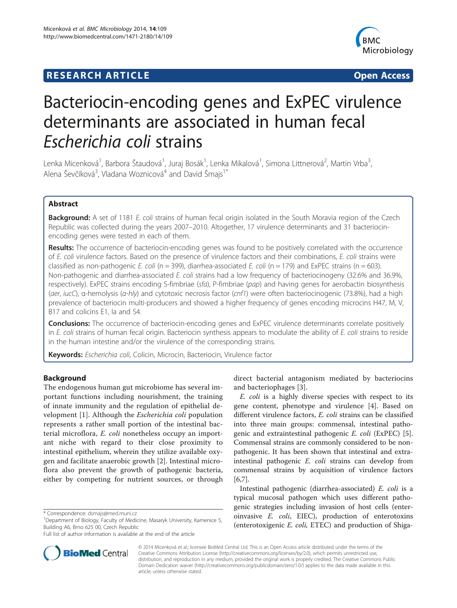# **RESEARCH ARTICLE Example 2014 CONSIDERING CONSIDERING CONSIDERING CONSIDERING CONSIDERING CONSIDERING CONSIDERING CONSIDERING CONSIDERING CONSIDERING CONSIDERING CONSIDERING CONSIDERING CONSIDERING CONSIDERING CONSIDE**



# Bacteriocin-encoding genes and ExPEC virulence determinants are associated in human fecal Escherichia coli strains

Lenka Micenková<sup>1</sup>, Barbora Štaudová<sup>1</sup>, Juraj Bosák<sup>1</sup>, Lenka Mikalová<sup>1</sup>, Simona Littnerová<sup>2</sup>, Martin Vrba<sup>3</sup> , Alena Ševčíková<sup>3</sup>, Vladana Woznicová<sup>4</sup> and David Šmajs<sup>1\*</sup>

# Abstract

Background: A set of 1181 E. coli strains of human fecal origin isolated in the South Moravia region of the Czech Republic was collected during the years 2007–2010. Altogether, 17 virulence determinants and 31 bacteriocinencoding genes were tested in each of them.

Results: The occurrence of bacteriocin-encoding genes was found to be positively correlated with the occurrence of E. coli virulence factors. Based on the presence of virulence factors and their combinations, E. coli strains were classified as non-pathogenic E. coli (n = 399), diarrhea-associated E. coli (n = 179) and ExPEC strains (n = 603). Non-pathogenic and diarrhea-associated E. coli strains had a low frequency of bacteriocinogeny (32.6% and 36.9%, respectively). ExPEC strains encoding S-fimbriae (sfa), P-fimbriae (pap) and having genes for aerobactin biosynthesis (aer, iucC), α-hemolysis (α-hly) and cytotoxic necrosis factor (cnf1) were often bacteriocinogenic (73.8%), had a high prevalence of bacteriocin multi-producers and showed a higher frequency of genes encoding microcins H47, M, V, B17 and colicins E1, Ia and S4.

**Conclusions:** The occurrence of bacteriocin-encoding genes and ExPEC virulence determinants correlate positively in E. coli strains of human fecal origin. Bacteriocin synthesis appears to modulate the ability of E. coli strains to reside in the human intestine and/or the virulence of the corresponding strains.

Keywords: Escherichia coli, Colicin, Microcin, Bacteriocin, Virulence factor

# Background

The endogenous human gut microbiome has several important functions including nourishment, the training of innate immunity and the regulation of epithelial development [[1\]](#page-6-0). Although the Escherichia coli population represents a rather small portion of the intestinal bacterial microflora, E. coli nonetheless occupy an important niche with regard to their close proximity to intestinal epithelium, wherein they utilize available oxygen and facilitate anaerobic growth [[2\]](#page-6-0). Intestinal microflora also prevent the growth of pathogenic bacteria, either by competing for nutrient sources, or through



E. coli is a highly diverse species with respect to its gene content, phenotype and virulence [[4\]](#page-6-0). Based on different virulence factors, E. coli strains can be classified into three main groups: commensal, intestinal pathogenic and extraintestinal pathogenic E. coli (ExPEC) [\[5](#page-7-0)]. Commensal strains are commonly considered to be nonpathogenic. It has been shown that intestinal and extraintestinal pathogenic E. coli strains can develop from commensal strains by acquisition of virulence factors [[6,7\]](#page-7-0).

Intestinal pathogenic (diarrhea-associated) E. coli is a typical mucosal pathogen which uses different pathogenic strategies including invasion of host cells (enteroinvasive E. coli, EIEC), production of enterotoxins (enterotoxigenic E. coli, ETEC) and production of Shiga-



© 2014 Micenková et al.; licensee BioMed Central Ltd. This is an Open Access article distributed under the terms of the Creative Commons Attribution License (<http://creativecommons.org/licenses/by/2.0>), which permits unrestricted use, distribution, and reproduction in any medium, provided the original work is properly credited. The Creative Commons Public Domain Dedication waiver [\(http://creativecommons.org/publicdomain/zero/1.0/\)](http://creativecommons.org/publicdomain/zero/1.0/) applies to the data made available in this article, unless otherwise stated.

<sup>\*</sup> Correspondence: [dsmajs@med.muni.cz](mailto:dsmajs@med.muni.cz) <sup>1</sup>

<sup>&</sup>lt;sup>1</sup>Department of Biology, Faculty of Medicine, Masaryk University, Kamenice 5, Building A6, Brno 625 00, Czech Republic

Full list of author information is available at the end of the article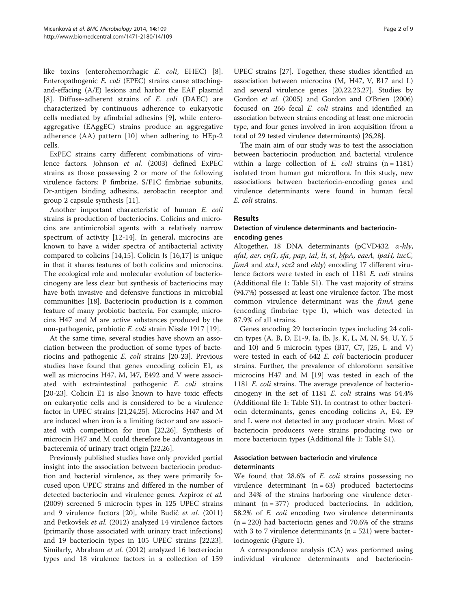like toxins (enterohemorrhagic E. coli, EHEC) [\[8](#page-7-0)]. Enteropathogenic E. coli (EPEC) strains cause attachingand-effacing (A/E) lesions and harbor the EAF plasmid [[8\]](#page-7-0). Diffuse-adherent strains of *E. coli* (DAEC) are characterized by continuous adherence to eukaryotic cells mediated by afimbrial adhesins [\[9](#page-7-0)], while enteroaggregative (EAggEC) strains produce an aggregative adherence (AA) pattern [[10\]](#page-7-0) when adhering to HEp-2 cells.

ExPEC strains carry different combinations of virulence factors. Johnson et al. (2003) defined ExPEC strains as those possessing 2 or more of the following virulence factors: P fimbriae, S/F1C fimbriae subunits, Dr-antigen binding adhesins, aerobactin receptor and group 2 capsule synthesis [\[11](#page-7-0)].

Another important characteristic of human E. coli strains is production of bacteriocins. Colicins and microcins are antimicrobial agents with a relatively narrow spectrum of activity [[12-14\]](#page-7-0). In general, microcins are known to have a wider spectra of antibacterial activity compared to colicins [[14,15\]](#page-7-0). Colicin Js [[16,17\]](#page-7-0) is unique in that it shares features of both colicins and microcins. The ecological role and molecular evolution of bacteriocinogeny are less clear but synthesis of bacteriocins may have both invasive and defensive functions in microbial communities [[18\]](#page-7-0). Bacteriocin production is a common feature of many probiotic bacteria. For example, microcins H47 and M are active substances produced by the non-pathogenic, probiotic E. coli strain Nissle 1917 [[19\]](#page-7-0).

At the same time, several studies have shown an association between the production of some types of bacteriocins and pathogenic E. coli strains [[20](#page-7-0)-[23\]](#page-7-0). Previous studies have found that genes encoding colicin E1, as well as microcins H47, M, I47, E492 and V were associated with extraintestinal pathogenic E. coli strains [[20-23](#page-7-0)]. Colicin E1 is also known to have toxic effects on eukaryotic cells and is considered to be a virulence factor in UPEC strains [\[21,24,25\]](#page-7-0). Microcins H47 and M are induced when iron is a limiting factor and are associated with competition for iron [[22,26\]](#page-7-0). Synthesis of microcin H47 and M could therefore be advantageous in bacteremia of urinary tract origin [[22,26](#page-7-0)].

Previously published studies have only provided partial insight into the association between bacteriocin production and bacterial virulence, as they were primarily focused upon UPEC strains and differed in the number of detected bacteriocin and virulence genes. Azpiroz et al. (2009) screened 5 microcin types in 125 UPEC strains and 9 virulence factors [\[20](#page-7-0)], while Budi<sup>č</sup> et al. (2011) and Petkovšek et al. (2012) analyzed 14 virulence factors (primarily those associated with urinary tract infections) and 19 bacteriocin types in 105 UPEC strains [\[22,23](#page-7-0)]. Similarly, Abraham et al. (2012) analyzed 16 bacteriocin types and 18 virulence factors in a collection of 159 UPEC strains [\[27](#page-7-0)]. Together, these studies identified an association between microcins (M, H47, V, B17 and L) and several virulence genes [[20,22,23,27\]](#page-7-0). Studies by Gordon et al. (2005) and Gordon and O'Brien (2006) focused on 266 fecal E. coli strains and identified an association between strains encoding at least one microcin type, and four genes involved in iron acquisition (from a total of 29 tested virulence determinants) [[26,28\]](#page-7-0).

The main aim of our study was to test the association between bacteriocin production and bacterial virulence within a large collection of  $E$ . *coli* strains  $(n = 1181)$ isolated from human gut microflora. In this study, new associations between bacteriocin-encoding genes and virulence determinants were found in human fecal E. coli strains.

#### Results

#### Detection of virulence determinants and bacteriocinencoding genes

Altogether, 18 DNA determinants (pCVD432, <sup>α</sup>-hly, afaI, aer, cnf1, sfa, pap, ial, lt, st, bfpA, eaeA, ipaH, iucC, fimA and stx1, stx2 and ehly) encoding 17 different virulence factors were tested in each of 1181 E. coli strains (Additional file [1:](#page-6-0) Table S1). The vast majority of strains (94.7%) possessed at least one virulence factor. The most common virulence determinant was the fimA gene (encoding fimbriae type I), which was detected in 87.9% of all strains.

Genes encoding 29 bacteriocin types including 24 colicin types (A, B, D, E1-9, Ia, Ib, Js, K, L, M, N, S4, U, Y, 5 and 10) and 5 microcin types (B17, C7, J25, L and V) were tested in each of 642 E. coli bacteriocin producer strains. Further, the prevalence of chloroform sensitive microcins H47 and M [\[19](#page-7-0)] was tested in each of the <sup>1181</sup> E. coli strains. The average prevalence of bacteriocinogeny in the set of 1181 E. coli strains was 54.4% (Additional file [1](#page-6-0): Table S1). In contrast to other bacteriocin determinants, genes encoding colicins A, E4, E9 and L were not detected in any producer strain. Most of bacteriocin producers were strains producing two or more bacteriocin types (Additional file [1:](#page-6-0) Table S1).

# Association between bacteriocin and virulence determinants

We found that 28.6% of *E. coli* strains possessing no virulence determinant  $(n = 63)$  produced bacteriocins and 34% of the strains harboring one virulence determinant  $(n = 377)$  produced bacteriocins. In addition, 58.2% of E. coli encoding two virulence determinants  $(n = 220)$  had bacteriocin genes and 70.6% of the strains with 3 to 7 virulence determinants ( $n = 521$ ) were bacteriocinogenic (Figure [1](#page-2-0)).

A correspondence analysis (CA) was performed using individual virulence determinants and bacteriocin-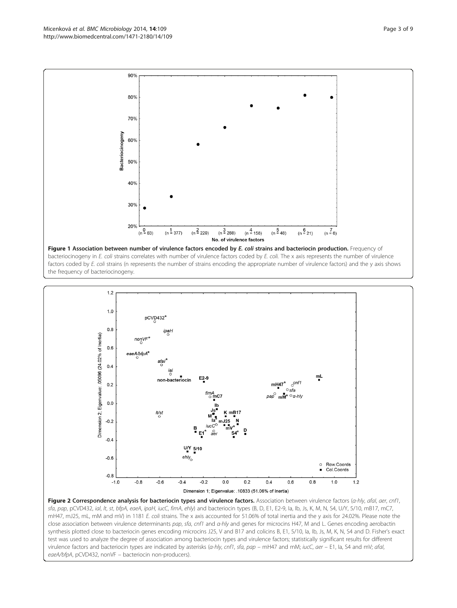<span id="page-2-0"></span>





sfa, pap, pCVD432, ial, lt, st, bfpA, eaeA, ipaH, iucC, fimA, ehly) and bacteriocin types (B, D, E1, E2-9, Ia, Ib, Js, K, M, N, S4, U/Y, 5/10, mB17, mC7, mH47, mJ25, mL, mM and mV) in 1181 E. coli strains. The x axis accounted for 51.06% of total inertia and the y axis for 24.02%. Please note the close association between virulence determinants pap, sfa, cnf1 and α-hly and genes for microcins H47, M and L. Genes encoding aerobactin synthesis plotted close to bacteriocin genes encoding microcins J25, V and B17 and colicins B, E1, 5/10, Ia, Ib, Js, M, K, N, S4 and D. Fisher's exact test was used to analyze the degree of association among bacteriocin types and virulence factors; statistically significant results for different virulence factors and bacteriocin types are indicated by asterisks (α-hly, cnf1, sfa, pap - mH47 and mM; iucC, aer - E1, la, S4 and mV; afal, eaeA/bfpA, pCVD432, nonVF – bacteriocin non-producers).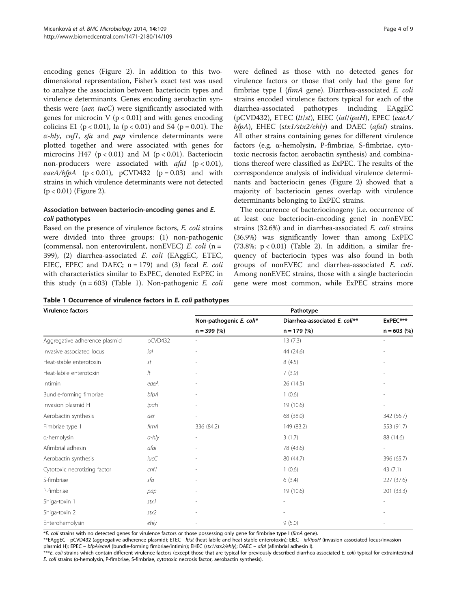encoding genes (Figure [2](#page-2-0)). In addition to this twodimensional representation, Fisher's exact test was used to analyze the association between bacteriocin types and virulence determinants. Genes encoding aerobactin synthesis were (aer, iucC) were significantly associated with genes for microcin V ( $p < 0.01$ ) and with genes encoding colicins E1 ( $p < 0.01$ ), Ia ( $p < 0.01$ ) and S4 ( $p = 0.01$ ). The  $\alpha$ -hly, cnf1, sfa and pap virulence determinants were plotted together and were associated with genes for microcins H47 ( $p < 0.01$ ) and M ( $p < 0.01$ ). Bacteriocin non-producers were associated with  $afal$  (p < 0.01), eaeA/bfpA ( $p < 0.01$ ),  $p$ CVD432 ( $p = 0.03$ ) and with strains in which virulence determinants were not detected  $(p < 0.01)$  (Figure [2\)](#page-2-0).

# Association between bacteriocin-encoding genes and E. coli pathotypes

Based on the presence of virulence factors, E. coli strains were divided into three groups: (1) non-pathogenic (commensal, non enterovirulent, nonEVEC)  $E.$  coli (n = 399), (2) diarrhea-associated E. coli (EAggEC, ETEC, EIEC, EPEC and DAEC;  $n = 179$ ) and (3) fecal E. coli with characteristics similar to ExPEC, denoted ExPEC in this study  $(n = 603)$  (Table 1). Non-pathogenic E. coli

were defined as those with no detected genes for virulence factors or those that only had the gene for fimbriae type I (fimA gene). Diarrhea-associated E. coli strains encoded virulence factors typical for each of the diarrhea-associated pathotypes including EAggEC (pCVD432), ETEC (lt/st), EIEC (ial/ipaH), EPEC (eaeA/  $bfpA$ ), EHEC (stx1/stx2/ehly) and DAEC (afal) strains. All other strains containing genes for different virulence factors (e.g. α-hemolysin, P-fimbriae, S-fimbriae, cytotoxic necrosis factor, aerobactin synthesis) and combinations thereof were classified as ExPEC. The results of the correspondence analysis of individual virulence determinants and bacteriocin genes (Figure [2](#page-2-0)) showed that a majority of bacteriocin genes overlap with virulence determinants belonging to ExPEC strains.

The occurrence of bacteriocinogeny (i.e. occurrence of at least one bacteriocin-encoding gene) in nonEVEC strains (32.6%) and in diarrhea-associated E. coli strains (36.9%) was significantly lower than among ExPEC (73.8%;  $p < 0.01$ ) (Table [2\)](#page-4-0). In addition, a similar frequency of bacteriocin types was also found in both groups of nonEVEC and diarrhea-associated E. coli. Among nonEVEC strains, those with a single bacteriocin gene were most common, while ExPEC strains more

|  | Table 1 Occurrence of virulence factors in E. coli pathotypes |  |  |  |  |
|--|---------------------------------------------------------------|--|--|--|--|
|--|---------------------------------------------------------------|--|--|--|--|

| <b>Virulence factors</b>      |             | Pathotype                |                               |               |  |  |
|-------------------------------|-------------|--------------------------|-------------------------------|---------------|--|--|
|                               |             | Non-pathogenic E. coli*  | Diarrhea-associated E. coli** | ExPEC***      |  |  |
|                               |             | $n = 399(%)$             | $n = 179(%)$                  | $n = 603$ (%) |  |  |
| Aggregative adherence plasmid | pCVD432     | $\overline{a}$           | 13(7.3)                       | ٠             |  |  |
| Invasive associated locus     | ial         |                          | 44 (24.6)                     |               |  |  |
| Heat-stable enterotoxin       | st          | $\overline{\phantom{0}}$ | 8(4.5)                        |               |  |  |
| Heat-labile enterotoxin       | lt          | ÷,                       | 7(3.9)                        |               |  |  |
| Intimin                       | eaeA        |                          | 26 (14.5)                     |               |  |  |
| Bundle-forming fimbriae       | bfpA        | $\overline{a}$           | 1(0.6)                        |               |  |  |
| Invasion plasmid H            | ipaH        |                          | 19 (10.6)                     |               |  |  |
| Aerobactin synthesis          | aer         | $\overline{a}$           | 68 (38.0)                     | 342 (56.7)    |  |  |
| Fimbriae type 1               | fimA        | 336 (84.2)               | 149 (83.2)                    | 553 (91.7)    |  |  |
| a-hemolysin                   | $a-hly$     | $\overline{a}$           | 3(1.7)                        | 88 (14.6)     |  |  |
| Afimbrial adhesin             | afal        | $\overline{a}$           | 78 (43.6)                     |               |  |  |
| Aerobactin synthesis          | <i>iucC</i> |                          | 80 (44.7)                     | 396 (65.7)    |  |  |
| Cytotoxic necrotizing factor  | cnf1        |                          | 1(0.6)                        | 43(7.1)       |  |  |
| S-fimbriae                    | sfa         | ÷,                       | 6(3.4)                        | 227 (37.6)    |  |  |
| P-fimbriae                    | pap         |                          | 19 (10.6)                     | 201 (33.3)    |  |  |
| Shiga-toxin 1                 | stx1        |                          |                               |               |  |  |
| Shiga-toxin 2                 | stx2        |                          |                               |               |  |  |
| Enterohemolysin               | ehly        |                          | 9(5.0)                        |               |  |  |

\*E. coli strains with no detected genes for virulence factors or those possessing only gene for fimbriae type I (fimA gene).

\*\*EAggEC - pCVD432 (aggregative adherence plasmid); ETEC - lt/st (heat-labile and heat-stable enterotoxin); EIEC - ial/ipaH (invasion associated locus/invasion plasmid H); EPEC - bfpA/eaeA (bundle-forming fimbriae/intimin); EHEC (stx1/stx2/ehly); DAEC - afal (afimbrial adhesin I).

\*\*\*E. coli strains which contain different virulence factors (except those that are typical for previously described diarrhea-associated E. coli) typical for extraintestinal E. coli strains (α-hemolysin, P-fimbriae, S-fimbriae, cytotoxic necrosis factor, aerobactin synthesis).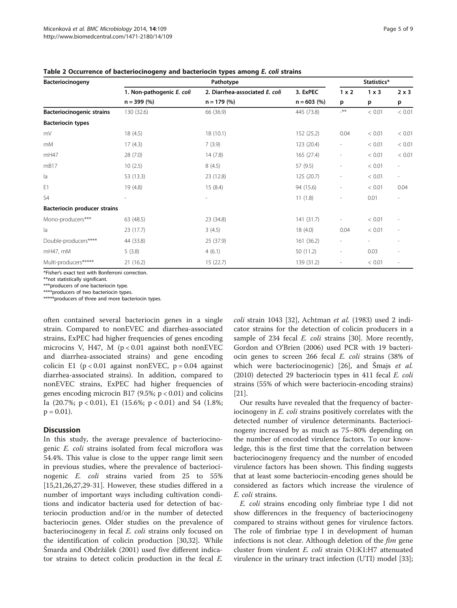| Bacteriocinogeny                 | Pathotype                 |                                |               |                          | Statistics*  |                          |  |
|----------------------------------|---------------------------|--------------------------------|---------------|--------------------------|--------------|--------------------------|--|
|                                  | 1. Non-pathogenic E. coli | 2. Diarrhea-associated E. coli | 3. ExPEC      | 1 x 2                    | $1 \times 3$ | $2 \times 3$             |  |
|                                  | $n = 399(%)$              | $n = 179 (%)$                  | $n = 603$ (%) | p                        | p            | p                        |  |
| <b>Bacteriocinogenic strains</b> | 130 (32.6)                | 66 (36.9)                      | 445 (73.8)    | $-***$                   | < 0.01       | < 0.01                   |  |
| <b>Bacteriocin types</b>         |                           |                                |               |                          |              |                          |  |
| mV                               | 18(4.5)                   | 18(10.1)                       | 152 (25.2)    | 0.04                     | < 0.01       | < 0.01                   |  |
| mM                               | 17(4.3)                   | 7(3.9)                         | 123 (20.4)    | $\overline{\phantom{a}}$ | < 0.01       | < 0.01                   |  |
| mH47                             | 28(7.0)                   | 14(7.8)                        | 165 (27.4)    | $\overline{\phantom{a}}$ | < 0.01       | < 0.01                   |  |
| mB17                             | 10(2.5)                   | 8(4.5)                         | 57 (9.5)      | $\overline{\phantom{a}}$ | < 0.01       | $\overline{\phantom{a}}$ |  |
| la                               | 53 (13.3)                 | 23 (12.8)                      | 125 (20.7)    | $\overline{\phantom{a}}$ | < 0.01       | $\overline{\phantom{a}}$ |  |
| E1                               | 19(4.8)                   | 15(8.4)                        | 94 (15.6)     | $\overline{a}$           | < 0.01       | 0.04                     |  |
| S <sub>4</sub>                   |                           | $\overline{\phantom{0}}$       | 11(1.8)       | $\overline{a}$           | 0.01         |                          |  |
| Bacteriocin producer strains     |                           |                                |               |                          |              |                          |  |
| Mono-producers***                | 63 (48.5)                 | 23 (34.8)                      | 141 (31.7)    | $\overline{\phantom{a}}$ | < 0.01       |                          |  |
| la                               | 23(17.7)                  | 3(4.5)                         | 18(4.0)       | 0.04                     | < 0.01       |                          |  |
| Double-producers****             | 44 (33.8)                 | 25 (37.9)                      | 161 (36.2)    | $\overline{\phantom{a}}$ |              |                          |  |
| mH47, mM                         | 5(3.8)                    | 4(6.1)                         | 50 (11.2)     | $\overline{\phantom{a}}$ | 0.03         |                          |  |
| Multi-producers*****             | 21(16.2)                  | 15(22.7)                       | 139 (31.2)    | $\overline{\phantom{a}}$ | < 0.01       | $\overline{\phantom{a}}$ |  |

#### <span id="page-4-0"></span>Table 2 Occurrence of bacteriocinogeny and bacteriocin types among E. coli strains

\*Fisher's exact test with Bonferroni correction.

\*\*not statistically significant.

\*\*\*producers of one bacteriocin type.

\*producers of two bacteriocin types.

\*\*\*\*\*\*producers of three and more bacteriocin types.

often contained several bacteriocin genes in a single strain. Compared to nonEVEC and diarrhea-associated strains, ExPEC had higher frequencies of genes encoding microcins V, H47, M  $(p < 0.01$  against both nonEVEC and diarrhea-associated strains) and gene encoding colicin E1 ( $p < 0.01$  against nonEVEC,  $p = 0.04$  against diarrhea-associated strains). In addition, compared to nonEVEC strains, ExPEC had higher frequencies of genes encoding microcin B17 (9.5%;  $p < 0.01$ ) and colicins Ia  $(20.7\%; p < 0.01)$ , E1  $(15.6\%; p < 0.01)$  and S4  $(1.8\%;$  $p = 0.01$ .

# **Discussion**

In this study, the average prevalence of bacteriocinogenic E. coli strains isolated from fecal microflora was 54.4%. This value is close to the upper range limit seen in previous studies, where the prevalence of bacteriocinogenic E. coli strains varied from 25 to 55% [[15,21,26,27,29-31\]](#page-7-0). However, these studies differed in a number of important ways including cultivation conditions and indicator bacteria used for detection of bacteriocin production and/or in the number of detected bacteriocin genes. Older studies on the prevalence of bacteriocinogeny in fecal *E. coli* strains only focused on the identification of colicin production [\[30,32](#page-7-0)]. While Šmarda and Obdržálek (2001) used five different indicator strains to detect colicin production in the fecal E.

coli strain 1043 [\[32\]](#page-7-0), Achtman et al. (1983) used 2 indicator strains for the detection of colicin producers in a sample of 234 fecal *E. coli* strains [[30](#page-7-0)]. More recently, Gordon and O'Brien (2006) used PCR with 19 bacteriocin genes to screen 266 fecal E. coli strains (38% of which were bacteriocinogenic) [[26\]](#page-7-0), and Šmajs et al. (2010) detected 29 bacteriocin types in 411 fecal E. coli strains (55% of which were bacteriocin-encoding strains) [[21\]](#page-7-0).

Our results have revealed that the frequency of bacteriocinogeny in E. coli strains positively correlates with the detected number of virulence determinants. Bacteriocinogeny increased by as much as 75–80% depending on the number of encoded virulence factors. To our knowledge, this is the first time that the correlation between bacteriocinogeny frequency and the number of encoded virulence factors has been shown. This finding suggests that at least some bacteriocin-encoding genes should be considered as factors which increase the virulence of E. coli strains.

E. coli strains encoding only fimbriae type I did not show differences in the frequency of bacteriocinogeny compared to strains without genes for virulence factors. The role of fimbriae type I in development of human infections is not clear. Although deletion of the *fim* gene cluster from virulent E. coli strain O1:K1:H7 attenuated virulence in the urinary tract infection (UTI) model [\[33](#page-7-0)];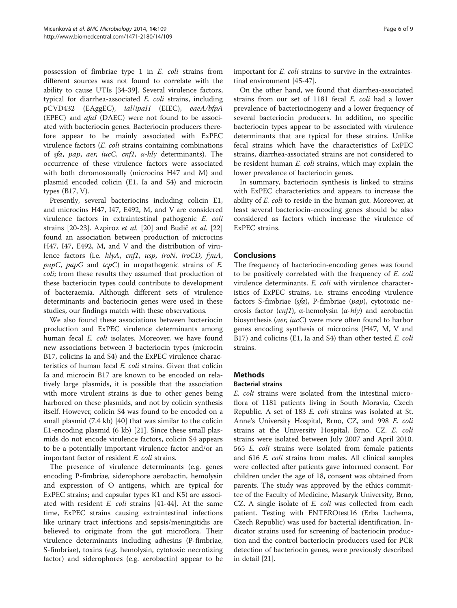possession of fimbriae type 1 in E. coli strains from different sources was not found to correlate with the ability to cause UTIs [\[34](#page-7-0)-[39](#page-7-0)]. Several virulence factors, typical for diarrhea-associated E. coli strains, including pCVD432 (EAggEC), ial/ipaH (EIEC), eaeA/bfpA (EPEC) and afaI (DAEC) were not found to be associated with bacteriocin genes. Bacteriocin producers therefore appear to be mainly associated with ExPEC virulence factors (E. coli strains containing combinations of sfa, pap, aer, iucC, cnf1, <sup>α</sup>-hly determinants). The occurrence of these virulence factors were associated with both chromosomally (microcins H47 and M) and plasmid encoded colicin (E1, Ia and S4) and microcin types (B17, V).

Presently, several bacteriocins including colicin E1, and microcins H47, I47, E492, M, and V are considered virulence factors in extraintestinal pathogenic E. coli strains [\[20](#page-7-0)-[23\]](#page-7-0). Azpiroz et al. [[20\]](#page-7-0) and Budi<sup>č</sup> et al. [[22](#page-7-0)] found an association between production of microcins H47, I47, E492, M, and V and the distribution of virulence factors (i.e. hlyA, cnf1, usp, iroN, iroCD, fyuA, *papC*, *papG* and *tcpC*) in uropathogenic strains of *E*. coli; from these results they assumed that production of these bacteriocin types could contribute to development of bacteraemia. Although different sets of virulence determinants and bacteriocin genes were used in these studies, our findings match with these observations.

We also found these associations between bacteriocin production and ExPEC virulence determinants among human fecal E. coli isolates. Moreover, we have found new associations between 3 bacteriocin types (microcin B17, colicins Ia and S4) and the ExPEC virulence characteristics of human fecal E. coli strains. Given that colicin Ia and microcin B17 are known to be encoded on relatively large plasmids, it is possible that the association with more virulent strains is due to other genes being harbored on these plasmids, and not by colicin synthesis itself. However, colicin S4 was found to be encoded on a small plasmid (7.4 kb) [\[40\]](#page-7-0) that was similar to the colicin E1-encoding plasmid (6 kb) [[21\]](#page-7-0). Since these small plasmids do not encode virulence factors, colicin S4 appears to be a potentially important virulence factor and/or an important factor of resident E. coli strains.

The presence of virulence determinants (e.g. genes encoding P-fimbriae, siderophore aerobactin, hemolysin and expression of O antigens, which are typical for ExPEC strains; and capsular types K1 and K5) are associated with resident  $E.$  coli strains [\[41-44](#page-7-0)]. At the same time, ExPEC strains causing extraintestinal infections like urinary tract infections and sepsis/meningitidis are believed to originate from the gut microflora. Their virulence determinants including adhesins (P-fimbriae, S-fimbriae), toxins (e.g. hemolysin, cytotoxic necrotizing factor) and siderophores (e.g. aerobactin) appear to be important for E. coli strains to survive in the extraintestinal environment [\[45-47](#page-7-0)].

On the other hand, we found that diarrhea-associated strains from our set of 1181 fecal E. coli had a lower prevalence of bacteriocinogeny and a lower frequency of several bacteriocin producers. In addition, no specific bacteriocin types appear to be associated with virulence determinants that are typical for these strains. Unlike fecal strains which have the characteristics of ExPEC strains, diarrhea-associated strains are not considered to be resident human E. coli strains, which may explain the lower prevalence of bacteriocin genes.

In summary, bacteriocin synthesis is linked to strains with ExPEC characteristics and appears to increase the ability of *E. coli* to reside in the human gut. Moreover, at least several bacteriocin-encoding genes should be also considered as factors which increase the virulence of ExPEC strains.

# Conclusions

The frequency of bacteriocin-encoding genes was found to be positively correlated with the frequency of E. coli virulence determinants. E. coli with virulence characteristics of ExPEC strains, i.e. strains encoding virulence factors S-fimbriae (sfa), P-fimbriae (pap), cytotoxic necrosis factor (cnf1), α-hemolysin (α-hly) and aerobactin biosynthesis (aer, iucC) were more often found to harbor genes encoding synthesis of microcins (H47, M, V and B17) and colicins (E1, Ia and S4) than other tested E. coli strains.

# **Methods**

#### Bacterial strains

E. coli strains were isolated from the intestinal microflora of 1181 patients living in South Moravia, Czech Republic. A set of 183 E. coli strains was isolated at St. Anne's University Hospital, Brno, CZ, and 998 E. coli strains at the University Hospital, Brno, CZ. E. coli strains were isolated between July 2007 and April 2010. <sup>565</sup> E. coli strains were isolated from female patients and 616 E. coli strains from males. All clinical samples were collected after patients gave informed consent. For children under the age of 18, consent was obtained from parents. The study was approved by the ethics committee of the Faculty of Medicine, Masaryk University, Brno, CZ. A single isolate of *E. coli* was collected from each patient. Testing with ENTEROtest16 (Erba Lachema, Czech Republic) was used for bacterial identification. Indicator strains used for screening of bacteriocin production and the control bacteriocin producers used for PCR detection of bacteriocin genes, were previously described in detail [\[21\]](#page-7-0).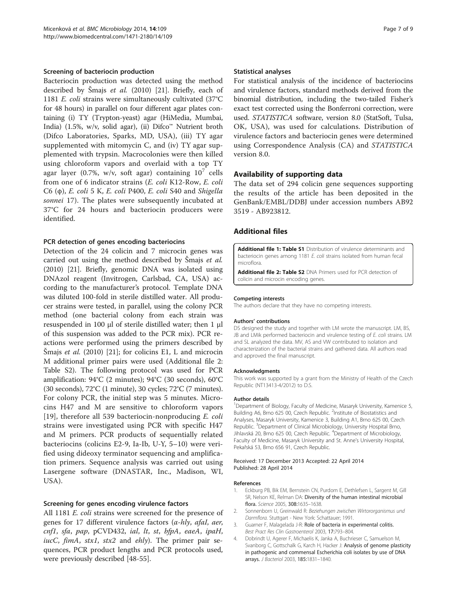#### <span id="page-6-0"></span>Screening of bacteriocin production

Bacteriocin production was detected using the method described by <sup>Š</sup>majs et al. (2010) [\[21](#page-7-0)]. Briefly, each of <sup>1181</sup> E. coli strains were simultaneously cultivated (37°C for 48 hours) in parallel on four different agar plates containing (i) TY (Trypton-yeast) agar (HiMedia, Mumbai, India) (1.5%, w/v, solid agar), (ii) Difco™ Nutrient broth (Difco Laboratories, Sparks, MD, USA), (iii) TY agar supplemented with mitomycin C, and (iv) TY agar supplemented with trypsin. Macrocolonies were then killed using chloroform vapors and overlaid with a top TY agar layer (0.7%, w/v, soft agar) containing  $10^7$  cells from one of 6 indicator strains (E. coli K12-Row, E. coli C6 (φ), E. coli 5 K, E. coli P400, E. coli S40 and Shigella sonnei 17). The plates were subsequently incubated at 37°C for 24 hours and bacteriocin producers were identified.

#### PCR detection of genes encoding bacteriocins

Detection of the 24 colicin and 7 microcin genes was carried out using the method described by <sup>Š</sup>majs et al. (2010) [\[21\]](#page-7-0). Briefly, genomic DNA was isolated using DNAzol reagent (Invitrogen, Carlsbad, CA, USA) according to the manufacturer's protocol. Template DNA was diluted 100-fold in sterile distilled water. All producer strains were tested, in parallel, using the colony PCR method (one bacterial colony from each strain was resuspended in 100 μl of sterile distilled water; then 1 μl of this suspension was added to the PCR mix). PCR reactions were performed using the primers described by Šmajs *et al.* (2010) [[21](#page-7-0)]; for colicins E1, L and microcin M additional primer pairs were used (Additional file 2: Table S2). The following protocol was used for PCR amplification: 94°C (2 minutes); 94°C (30 seconds), 60°C (30 seconds), 72°C (1 minute), 30 cycles; 72°C (7 minutes). For colony PCR, the initial step was 5 minutes. Microcins H47 and M are sensitive to chloroform vapors [[19\]](#page-7-0), therefore all 539 bacteriocin-nonproducing  $E$ . coli strains were investigated using PCR with specific H47 and M primers. PCR products of sequentially related bacteriocins (colicins E2-9, Ia-Ib, U-Y, 5–10) were verified using dideoxy terminator sequencing and amplification primers. Sequence analysis was carried out using Lasergene software (DNASTAR, Inc., Madison, WI, USA).

#### Screening for genes encoding virulence factors

All 1181 *E. coli* strains were screened for the presence of genes for 17 different virulence factors  $(\alpha$ -hly, afal, aer, cnf1, sfa, pap, pCVD432, ial, lt, st, bfpA, eaeA, ipaH, *iucC*, *fimA*, *stx1*, *stx2* and *ehly*). The primer pair sequences, PCR product lengths and PCR protocols used, were previously described [\[48](#page-7-0)-[55\]](#page-8-0).

#### Statistical analyses

For statistical analysis of the incidence of bacteriocins and virulence factors, standard methods derived from the binomial distribution, including the two-tailed Fisher's exact test corrected using the Bonferroni correction, were used. STATISTICA software, version 8.0 (StatSoft, Tulsa, OK, USA), was used for calculations. Distribution of virulence factors and bacteriocin genes were determined using Correspondence Analysis (CA) and STATISTICA version 8.0.

#### Availability of supporting data

The data set of 294 colicin gene sequences supporting the results of the article has been deposited in the GenBank/EMBL/DDBJ under accession numbers AB92 3519 - AB923812.

#### Additional files

[Additional file 1: Table S1](http://www.biomedcentral.com/content/supplementary/1471-2180-14-109-S1.docx) Distribution of virulence determinants and bacteriocin genes among 1181 E. coli strains isolated from human fecal microflora.

[Additional file 2: Table S2](http://www.biomedcentral.com/content/supplementary/1471-2180-14-109-S2.docx) DNA Primers used for PCR detection of colicin and microcin encoding genes.

#### Competing interests

The authors declare that they have no competing interests.

#### Authors' contributions

DS designed the study and together with LM wrote the manuscript. LM, BS, JB and LMik performed bacteriocin and virulence testing of E. coli strains. LM and SL analyzed the data. MV, AS and VW contributed to isolation and characterization of the bacterial strains and gathered data. All authors read and approved the final manuscript.

#### Acknowledgments

This work was supported by a grant from the Ministry of Health of the Czech Republic (NT13413-4/2012) to D.S.

#### Author details

<sup>1</sup>Department of Biology, Faculty of Medicine, Masaryk University, Kamenice 5, Building A6, Brno 625 00, Czech Republic. <sup>2</sup>Institute of Biostatistics and Analyses, Masaryk University, Kamenice 3, Building A1, Brno 625 00, Czech Republic. <sup>3</sup>Department of Clinical Microbiology, University Hospital Brno Jihlavská 20, Brno 625 00, Czech Republic. <sup>4</sup>Department of Microbiology Faculty of Medicine, Masaryk University and St. Anne's University Hospital, Pekařská 53, Brno 656 91, Czech Republic.

#### Received: 17 December 2013 Accepted: 22 April 2014 Published: 28 April 2014

#### References

- 1. Eckburg PB, Bik EM, Bernstein CN, Purdom E, Dethlefsen L, Sargent M, Gill SR, Nelson KE, Relman DA: Diversity of the human intestinal microbial flora. Science 2005, 308:1635–1638.
- 2. Sonnenborn U, Greinwald R: Beziehungen zwischen Wirtororganismus und Darmflora. Stuttgart - New York: Schattauer; 1991.
- 3. Guarner F, Malagelada J-R: Role of bacteria in experimental colitis. Best Pract Res Clin Gastroenterol 2003, 17:793–804.
- 4. Dobrindt U, Agerer F, Michaelis K, Janka A, Buchrieser C, Samuelson M, Svanborg C, Gottschalk G, Karch H, Hacker J: Analysis of genome plasticity in pathogenic and commensal Escherichia coli isolates by use of DNA arrays. J Bacteriol 2003, 185:1831–1840.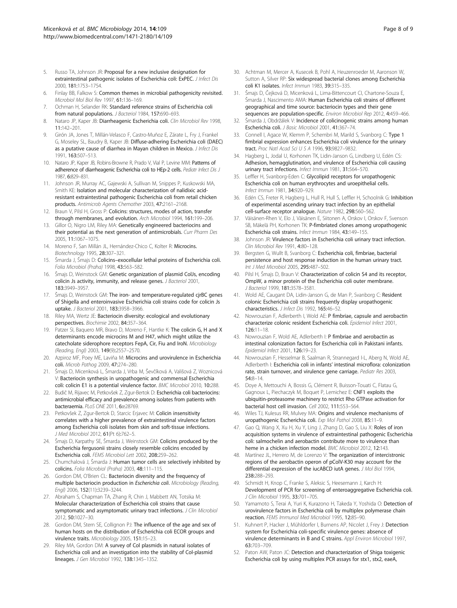- <span id="page-7-0"></span>5. Russo TA, Johnson JR: Proposal for a new inclusive designation for extraintestinal pathogenic isolates of Escherichia coli: ExPEC. J Infect Dis 2000, 181:1753–1754.
- 6. Finlay BB, Falkow S: Common themes in microbial pathogenicity revisited. Microbiol Mol Biol Rev 1997, 61:136–169.
- 7. Ochman H, Selander RK: Standard reference strains of Escherichia coli from natural populations. *J Bacteriol* 1984, 157:690-693.
- 8. Nataro JP, Kaper JB: Diarrheagenic Escherichia coli. Clin Microbiol Rev 1998, 11:142–201.
- 9. Girón JA, Jones T, Millán-Velasco F, Castro-Muñoz E, Zárate L, Fry J, Frankel G, Moseley SL, Baudry B, Kaper JB: Diffuse-adhering Escherichia coli (DAEC) as a putative cause of diarrhea in Mayan children in Mexico. J Infect Dis 1991, 163:507–513.
- 10. Nataro JP, Kaper JB, Robins-Browne R, Prado V, Vial P, Levine MM: Patterns of adherence of diarrheagenic Escherichia coli to HEp-2 cells. Pediatr Infect Dis J 1987, 6:829–831.
- 11. Johnson JR, Murray AC, Gajewski A, Sullivan M, Snippes P, Kuskowski MA, Smith KE: Isolation and molecular characterization of nalidixic acidresistant extraintestinal pathogenic Escherichia coli from retail chicken products. Antimicrob Agents Chemother 2003, 47:2161–2168.
- 12. Braun V, Pilsl H, Gross P: Colicins: structures, modes of action, transfer through membranes, and evolution. Arch Microbiol 1994, 161:199–206.
- 13. Gillor O, Nigro LM, Riley MA: Genetically engineered bacteriocins and their potential as the next generation of antimicrobials. Curr Pharm Des 2005, 11:1067–1075.
- 14. Moreno F, San Millán JL, Hernández-Chico C, Kolter R: Microcins. Biotechnology 1995, 28:307–321.
- 15. Šmarda J, Šmajs D: Colicins–exocellular lethal proteins of Escherichia coli. Folia Microbiol (Praha) 1998, 43:563–582.
- 16. Šmajs D, Weinstock GM: Genetic organization of plasmid ColJs, encoding colicin Js activity, immunity, and release genes. *J Bacteriol* 2001, 183:3949–3957.
- 17. Šmajs D, Weinstock GM: The iron- and temperature-regulated cjrBC genes of Shigella and enteroinvasive Escherichia coli strains code for colicin Js uptake. J Bacteriol 2001, 183:3958–3966.
- 18. Riley MA, Wertz JE: Bacteriocin diversity: ecological and evolutionary perspectives. Biochimie 2002, 84:357–364.
- 19. Patzer SI, Baquero MR, Bravo D, Moreno F, Hantke K: The colicin G, H and X determinants encode microcins M and H47, which might utilize the catecholate siderophore receptors FepA, Cir, Fiu and IroN. Microbiology (Reading, Engl) 2003, 149(9):2557–2570.
- 20. Azpiroz MF, Poey ME, Laviña M: Microcins and urovirulence in Escherichia coli. Microb Pathog 2009, 47:274–280.
- 21. Šmajs D, Micenková L, Šmarda J, Vrba M, Ševčíková A, Vališová Z, Woznicová V: Bacteriocin synthesis in uropathogenic and commensal Escherichia coli: colicin E1 is a potential virulence factor. BMC Microbiol 2010, 10:288.
- 22. Budič M, Rijavec M, Petkovšek Z, Zgur-Bertok D: Escherichia coli bacteriocins: antimicrobial efficacy and prevalence among isolates from patients with bacteraemia. PLoS ONE 2011, 6:e28769.
- 23. Petkovšek Z, Zgur-Bertok D, Starcic Erjavec M: Colicin insensitivity correlates with a higher prevalence of extraintestinal virulence factors among Escherichia coli isolates from skin and soft-tissue infections. J Med Microbiol 2012, 61(Pt 6):762-5.
- 24. Šmajs D, Karpathy SE, Šmarda J, Weinstock GM: Colicins produced by the Escherichia fergusonii strains closely resemble colicins encoded by Escherichia coli. FEMS Microbiol Lett 2002, 208:259–262.
- 25. Chumchalová J, Šmarda J: Human tumor cells are selectively inhibited by colicins. Folia Microbiol (Praha) 2003, 48:111–115.
- 26. Gordon DM, O'Brien CL: Bacteriocin diversity and the frequency of multiple bacteriocin production in Escherichia coli. Microbiology (Reading, Engl) 2006, 152(11):3239–3244.
- 27. Abraham S, Chapman TA, Zhang R, Chin J, Mabbett AN, Totsika M; Molecular characterization of Escherichia coli strains that cause symptomatic and asymptomatic urinary tract infections. J Clin Microbiol 2012, 50:1027–30.
- 28. Gordon DM, Stern SE, Collignon PJ: The influence of the age and sex of human hosts on the distribution of Escherichia coli ECOR groups and virulence traits. Microbiology 2005, 151:15–23.
- 29. Riley MA, Gordon DM: A survey of Col plasmids in natural isolates of Escherichia coli and an investigation into the stability of Col-plasmid lineages. J Gen Microbiol 1992, 138:1345–1352.
- 30. Achtman M, Mercer A, Kusecek B, Pohl A, Heuzenroeder M, Aaronson W, Sutton A, Silver RP: Six widespread bacterial clones among Escherichia coli K1 isolates. Infect Immun 1983, 39:315–335.
- 31. Šmajs D, Čejková D, Micenková L, Lima-Bittencourt CI, Chartone-Souza E, Šmarda J, Nascimento AMA: Human Escherichia coli strains of different geographical and time source: bacteriocin types and their gene sequences are population-specific. Environ Microbiol Rep 2012, 4:459-466.
- 32. Šmarda J, Obdržálek V: Incidence of colicinogenic strains among human Escherichia coli. J Basic Microbiol 2001, 41:367–74.
- 33. Connell I, Agace W, Klemm P, Schembri M, Marild S, Svanborg C: Type 1 fimbrial expression enhances Escherichia coli virulence for the urinary tract. Proc Natl Acad Sci U S A 1996, 93:9827–9832.
- 34. Hagberg L, Jodal U, Korhonen TK, Lidin-Janson G, Lindberg U, Edén CS: Adhesion, hemagglutination, and virulence of Escherichia coli causing urinary tract infections. Infect Immun 1981, 31:564–570.
- 35. Leffler H, Svanborg-Eden C: Glycolipid receptors for uropathogenic Escherichia coli on human erythrocytes and uroepithelial cells. Infect Immun 1981, 34:920–929.
- 36. Edén CS, Freter R, Hagberg L, Hull R, Hull S, Leffler H, Schoolnik G: Inhibition of experimental ascending urinary tract infection by an epithelial cell-surface receptor analogue. Nature 1982, 298:560–562.
- 37. Väisänen-Rhen V, Elo J, Väisänen E, Siitonen A, Orskov I, Orskov F, Svenson SB, Mäkelä PH, Korhonen TK: P-fimbriated clones among uropathogenic Escherichia coli strains. Infect Immun 1984, 43:149–155.
- Johnson JR: Virulence factors in Escherichia coli urinary tract infection. Clin Microbiol Rev 1991, 4:80–128.
- 39. Bergsten G, Wullt B, Svanborg C: Escherichia coli, fimbriae, bacterial persistence and host response induction in the human urinary tract. Int J Med Microbiol 2005, 295:487–502.
- 40. Pilsl H, Šmajs D, Braun V: Characterization of colicin S4 and its receptor, OmpW, a minor protein of the Escherichia coli outer membrane. J Bacteriol 1999, 181:3578–3581.
- 41. Wold AE, Caugant DA, Lidin-Janson G, de Man P, Svanborg C: Resident colonic Escherichia coli strains frequently display uropathogenic characteristics. J Infect Dis 1992, 165:46–52.
- 42. Nowrouzian F, Adlerberth I, Wold AE: P fimbriae, capsule and aerobactin characterize colonic resident Escherichia coli. Epidemiol Infect 2001, 126:11–18.
- 43. Nowrouzian F, Wold AE, Adlerberth I: P fimbriae and aerobactin as intestinal colonization factors for Escherichia coli in Pakistani infants. Epidemiol Infect 2001, 126:19–23.
- 44. Nowrouzian F, Hesselmar B, Saalman R, Strannegard I-L, Aberg N, Wold AE, Adlerberth I: Escherichia coli in infants' intestinal microflora: colonization rate, strain turnover, and virulence gene carriage. Pediatr Res 2003, 54:8–14.
- 45. Doye A, Mettouchi A, Bossis G, Clément R, Buisson-Touati C, Flatau G, Gagnoux L, Piechaczyk M, Boquet P, Lemichez E: CNF1 exploits the ubiquitin-proteasome machinery to restrict Rho GTPase activation for bacterial host cell invasion. Cell 2002, 111:553–564.
- Wiles TJ, Kulesus RR, Mulvey MA: Origins and virulence mechanisms of uropathogenic Escherichia coli. Exp Mol Pathol 2008, 85:11–9.
- 47. Gao Q, Wang X, Xu H, Xu Y, Ling J, Zhang D, Gao S, Liu X: Roles of iron acquisition systems in virulence of extraintestinal pathogenic Escherichia coli: salmochelin and aerobactin contribute more to virulence than heme in a chicken infection model. BMC Microbiol 2012, 12:143.
- 48. Martínez JL, Herrero M, de Lorenzo V: The organization of intercistronic regions of the aerobactin operon of pColV-K30 may account for the differential expression of the iucABCD iutA genes. J Mol Biol 1994, 238:288–293.
- 49. Schmidt H, Knop C, Franke S, Aleksic S, Heesemann J, Karch H: Development of PCR for screening of enteroaggregative Escherichia coli. J Clin Microbiol 1995, 33:701–705.
- 50. Yamamoto S, Terai A, Yuri K, Kurazono H, Takeda Y, Yoshida O: Detection of urovirulence factors in Escherichia coli by multiplex polymerase chain reaction. FEMS Immunol Med Microbiol 1995, 12:85–90.
- 51. Kuhnert P, Hacker J, Mühldorfer I, Burnens AP, Nicolet J, Frey J: Detection system for Escherichia coli-specific virulence genes: absence of virulence determinants in B and C strains. Appl Environ Microbiol 1997, 63:703–709.
- 52. Paton AW, Paton JC: Detection and characterization of Shiga toxigenic Escherichia coli by using multiplex PCR assays for stx1, stx2, eaeA,